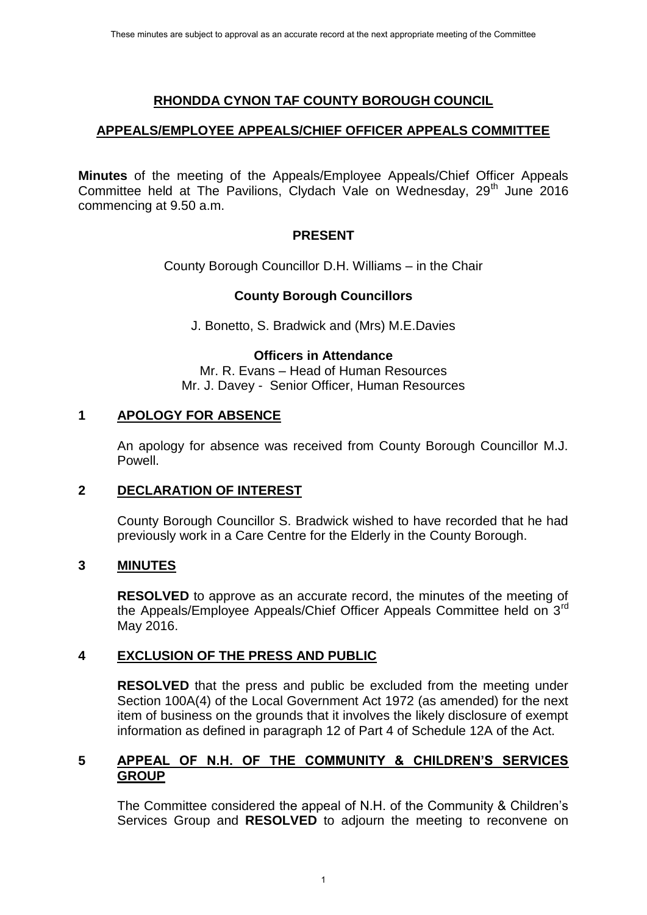# **RHONDDA CYNON TAF COUNTY BOROUGH COUNCIL**

## **APPEALS/EMPLOYEE APPEALS/CHIEF OFFICER APPEALS COMMITTEE**

**Minutes** of the meeting of the Appeals/Employee Appeals/Chief Officer Appeals Committee held at The Pavilions, Clydach Vale on Wednesday,  $29<sup>th</sup>$  June 2016 commencing at 9.50 a.m.

## **PRESENT**

County Borough Councillor D.H. Williams – in the Chair

# **County Borough Councillors**

J. Bonetto, S. Bradwick and (Mrs) M.E.Davies

## **Officers in Attendance**

Mr. R. Evans – Head of Human Resources Mr. J. Davey - Senior Officer, Human Resources

## **1 APOLOGY FOR ABSENCE**

An apology for absence was received from County Borough Councillor M.J. Powell.

## **2 DECLARATION OF INTEREST**

County Borough Councillor S. Bradwick wished to have recorded that he had previously work in a Care Centre for the Elderly in the County Borough.

## **3 MINUTES**

**RESOLVED** to approve as an accurate record, the minutes of the meeting of the Appeals/Employee Appeals/Chief Officer Appeals Committee held on 3<sup>rd</sup> May 2016.

## **4 EXCLUSION OF THE PRESS AND PUBLIC**

**RESOLVED** that the press and public be excluded from the meeting under Section 100A(4) of the Local Government Act 1972 (as amended) for the next item of business on the grounds that it involves the likely disclosure of exempt information as defined in paragraph 12 of Part 4 of Schedule 12A of the Act.

#### **5 APPEAL OF N.H. OF THE COMMUNITY & CHILDREN'S SERVICES GROUP**

The Committee considered the appeal of N.H. of the Community & Children's Services Group and **RESOLVED** to adjourn the meeting to reconvene on